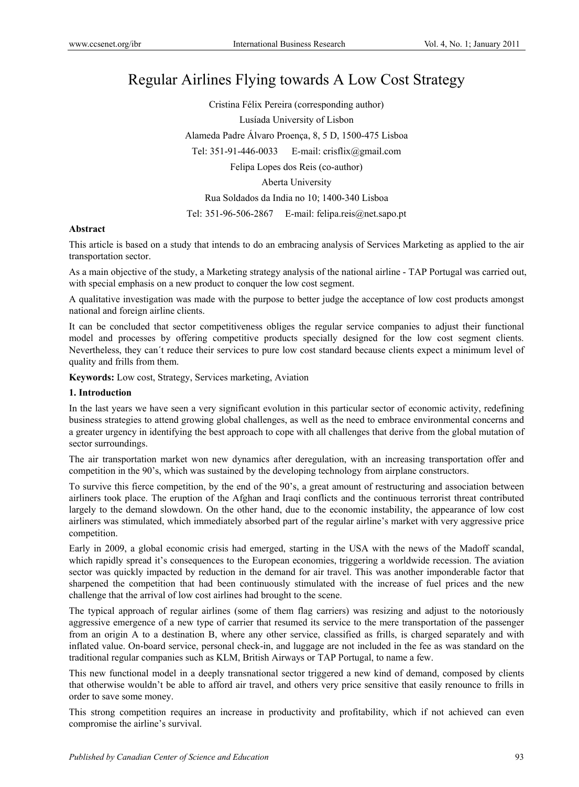# Regular Airlines Flying towards A Low Cost Strategy

Cristina Félix Pereira (corresponding author) Lusíada University of Lisbon Alameda Padre Álvaro Proença, 8, 5 D, 1500-475 Lisboa Tel: 351-91-446-0033 E-mail: crisflix@gmail.com Felipa Lopes dos Reis (co-author) Aberta University Rua Soldados da India no 10; 1400-340 Lisboa Tel: 351-96-506-2867 E-mail: felipa.reis@net.sapo.pt

#### **Abstract**

This article is based on a study that intends to do an embracing analysis of Services Marketing as applied to the air transportation sector.

As a main objective of the study, a Marketing strategy analysis of the national airline - TAP Portugal was carried out, with special emphasis on a new product to conquer the low cost segment.

A qualitative investigation was made with the purpose to better judge the acceptance of low cost products amongst national and foreign airline clients.

It can be concluded that sector competitiveness obliges the regular service companies to adjust their functional model and processes by offering competitive products specially designed for the low cost segment clients. Nevertheless, they can´t reduce their services to pure low cost standard because clients expect a minimum level of quality and frills from them.

**Keywords:** Low cost, Strategy, Services marketing, Aviation

#### **1. Introduction**

In the last years we have seen a very significant evolution in this particular sector of economic activity, redefining business strategies to attend growing global challenges, as well as the need to embrace environmental concerns and a greater urgency in identifying the best approach to cope with all challenges that derive from the global mutation of sector surroundings.

The air transportation market won new dynamics after deregulation, with an increasing transportation offer and competition in the 90's, which was sustained by the developing technology from airplane constructors.

To survive this fierce competition, by the end of the 90's, a great amount of restructuring and association between airliners took place. The eruption of the Afghan and Iraqi conflicts and the continuous terrorist threat contributed largely to the demand slowdown. On the other hand, due to the economic instability, the appearance of low cost airliners was stimulated, which immediately absorbed part of the regular airline's market with very aggressive price competition.

Early in 2009, a global economic crisis had emerged, starting in the USA with the news of the Madoff scandal, which rapidly spread it's consequences to the European economies, triggering a worldwide recession. The aviation sector was quickly impacted by reduction in the demand for air travel. This was another imponderable factor that sharpened the competition that had been continuously stimulated with the increase of fuel prices and the new challenge that the arrival of low cost airlines had brought to the scene.

The typical approach of regular airlines (some of them flag carriers) was resizing and adjust to the notoriously aggressive emergence of a new type of carrier that resumed its service to the mere transportation of the passenger from an origin A to a destination B, where any other service, classified as frills, is charged separately and with inflated value. On-board service, personal check-in, and luggage are not included in the fee as was standard on the traditional regular companies such as KLM, British Airways or TAP Portugal, to name a few.

This new functional model in a deeply transnational sector triggered a new kind of demand, composed by clients that otherwise wouldn't be able to afford air travel, and others very price sensitive that easily renounce to frills in order to save some money.

This strong competition requires an increase in productivity and profitability, which if not achieved can even compromise the airline's survival.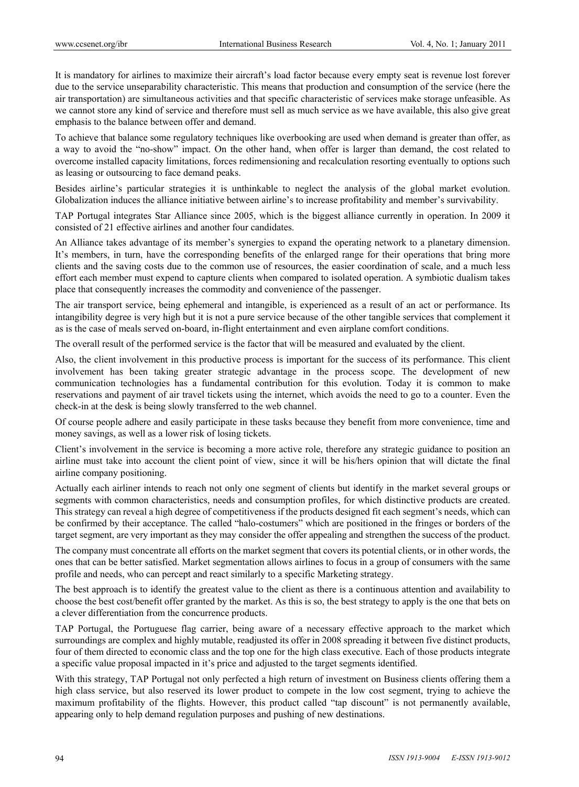It is mandatory for airlines to maximize their aircraft's load factor because every empty seat is revenue lost forever due to the service unseparability characteristic. This means that production and consumption of the service (here the air transportation) are simultaneous activities and that specific characteristic of services make storage unfeasible. As we cannot store any kind of service and therefore must sell as much service as we have available, this also give great emphasis to the balance between offer and demand.

To achieve that balance some regulatory techniques like overbooking are used when demand is greater than offer, as a way to avoid the "no-show" impact. On the other hand, when offer is larger than demand, the cost related to overcome installed capacity limitations, forces redimensioning and recalculation resorting eventually to options such as leasing or outsourcing to face demand peaks.

Besides airline's particular strategies it is unthinkable to neglect the analysis of the global market evolution. Globalization induces the alliance initiative between airline's to increase profitability and member's survivability.

TAP Portugal integrates Star Alliance since 2005, which is the biggest alliance currently in operation. In 2009 it consisted of 21 effective airlines and another four candidates.

An Alliance takes advantage of its member's synergies to expand the operating network to a planetary dimension. It's members, in turn, have the corresponding benefits of the enlarged range for their operations that bring more clients and the saving costs due to the common use of resources, the easier coordination of scale, and a much less effort each member must expend to capture clients when compared to isolated operation. A symbiotic dualism takes place that consequently increases the commodity and convenience of the passenger.

The air transport service, being ephemeral and intangible, is experienced as a result of an act or performance. Its intangibility degree is very high but it is not a pure service because of the other tangible services that complement it as is the case of meals served on-board, in-flight entertainment and even airplane comfort conditions.

The overall result of the performed service is the factor that will be measured and evaluated by the client.

Also, the client involvement in this productive process is important for the success of its performance. This client involvement has been taking greater strategic advantage in the process scope. The development of new communication technologies has a fundamental contribution for this evolution. Today it is common to make reservations and payment of air travel tickets using the internet, which avoids the need to go to a counter. Even the check-in at the desk is being slowly transferred to the web channel.

Of course people adhere and easily participate in these tasks because they benefit from more convenience, time and money savings, as well as a lower risk of losing tickets.

Client's involvement in the service is becoming a more active role, therefore any strategic guidance to position an airline must take into account the client point of view, since it will be his/hers opinion that will dictate the final airline company positioning.

Actually each airliner intends to reach not only one segment of clients but identify in the market several groups or segments with common characteristics, needs and consumption profiles, for which distinctive products are created. This strategy can reveal a high degree of competitiveness if the products designed fit each segment's needs, which can be confirmed by their acceptance. The called "halo-costumers" which are positioned in the fringes or borders of the target segment, are very important as they may consider the offer appealing and strengthen the success of the product.

The company must concentrate all efforts on the market segment that covers its potential clients, or in other words, the ones that can be better satisfied. Market segmentation allows airlines to focus in a group of consumers with the same profile and needs, who can percept and react similarly to a specific Marketing strategy.

The best approach is to identify the greatest value to the client as there is a continuous attention and availability to choose the best cost/benefit offer granted by the market. As this is so, the best strategy to apply is the one that bets on a clever differentiation from the concurrence products.

TAP Portugal, the Portuguese flag carrier, being aware of a necessary effective approach to the market which surroundings are complex and highly mutable, readjusted its offer in 2008 spreading it between five distinct products, four of them directed to economic class and the top one for the high class executive. Each of those products integrate a specific value proposal impacted in it's price and adjusted to the target segments identified.

With this strategy, TAP Portugal not only perfected a high return of investment on Business clients offering them a high class service, but also reserved its lower product to compete in the low cost segment, trying to achieve the maximum profitability of the flights. However, this product called "tap discount" is not permanently available, appearing only to help demand regulation purposes and pushing of new destinations.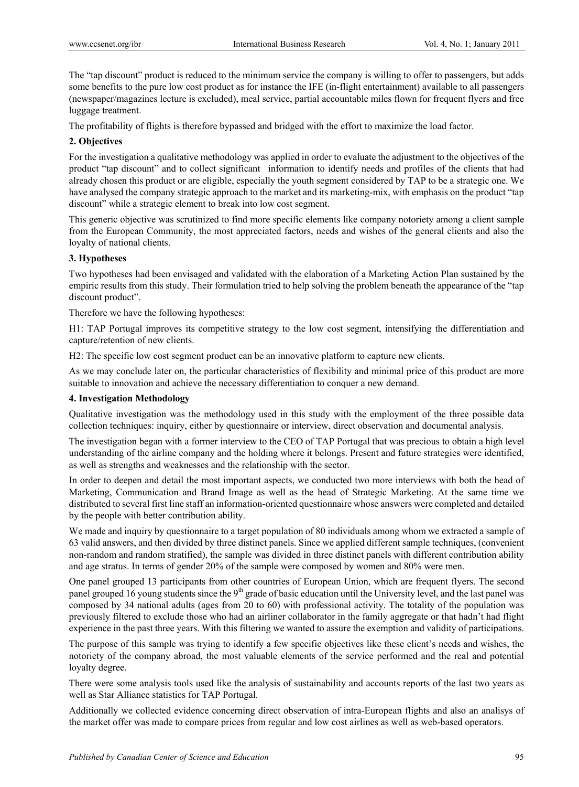The "tap discount" product is reduced to the minimum service the company is willing to offer to passengers, but adds some benefits to the pure low cost product as for instance the IFE (in-flight entertainment) available to all passengers (newspaper/magazines lecture is excluded), meal service, partial accountable miles flown for frequent flyers and free luggage treatment.

The profitability of flights is therefore bypassed and bridged with the effort to maximize the load factor.

# **2. Objectives**

For the investigation a qualitative methodology was applied in order to evaluate the adjustment to the objectives of the product "tap discount" and to collect significant information to identify needs and profiles of the clients that had already chosen this product or are eligible, especially the youth segment considered by TAP to be a strategic one. We have analysed the company strategic approach to the market and its marketing-mix, with emphasis on the product "tap discount" while a strategic element to break into low cost segment.

This generic objective was scrutinized to find more specific elements like company notoriety among a client sample from the European Community, the most appreciated factors, needs and wishes of the general clients and also the loyalty of national clients.

## **3. Hypotheses**

Two hypotheses had been envisaged and validated with the elaboration of a Marketing Action Plan sustained by the empiric results from this study. Their formulation tried to help solving the problem beneath the appearance of the "tap discount product".

Therefore we have the following hypotheses:

H1: TAP Portugal improves its competitive strategy to the low cost segment, intensifying the differentiation and capture/retention of new clients.

H2: The specific low cost segment product can be an innovative platform to capture new clients.

As we may conclude later on, the particular characteristics of flexibility and minimal price of this product are more suitable to innovation and achieve the necessary differentiation to conquer a new demand.

# **4. Investigation Methodology**

Qualitative investigation was the methodology used in this study with the employment of the three possible data collection techniques: inquiry, either by questionnaire or interview, direct observation and documental analysis.

The investigation began with a former interview to the CEO of TAP Portugal that was precious to obtain a high level understanding of the airline company and the holding where it belongs. Present and future strategies were identified, as well as strengths and weaknesses and the relationship with the sector.

In order to deepen and detail the most important aspects, we conducted two more interviews with both the head of Marketing, Communication and Brand Image as well as the head of Strategic Marketing. At the same time we distributed to several first line staff an information-oriented questionnaire whose answers were completed and detailed by the people with better contribution ability.

We made and inquiry by questionnaire to a target population of 80 individuals among whom we extracted a sample of 63 valid answers, and then divided by three distinct panels. Since we applied different sample techniques, (convenient non-random and random stratified), the sample was divided in three distinct panels with different contribution ability and age stratus. In terms of gender 20% of the sample were composed by women and 80% were men.

One panel grouped 13 participants from other countries of European Union, which are frequent flyers. The second panel grouped 16 young students since the 9<sup>th</sup> grade of basic education until the University level, and the last panel was composed by 34 national adults (ages from 20 to 60) with professional activity. The totality of the population was previously filtered to exclude those who had an airliner collaborator in the family aggregate or that hadn't had flight experience in the past three years. With this filtering we wanted to assure the exemption and validity of participations.

The purpose of this sample was trying to identify a few specific objectives like these client's needs and wishes, the notoriety of the company abroad, the most valuable elements of the service performed and the real and potential loyalty degree.

There were some analysis tools used like the analysis of sustainability and accounts reports of the last two years as well as Star Alliance statistics for TAP Portugal.

Additionally we collected evidence concerning direct observation of intra-European flights and also an analisys of the market offer was made to compare prices from regular and low cost airlines as well as web-based operators.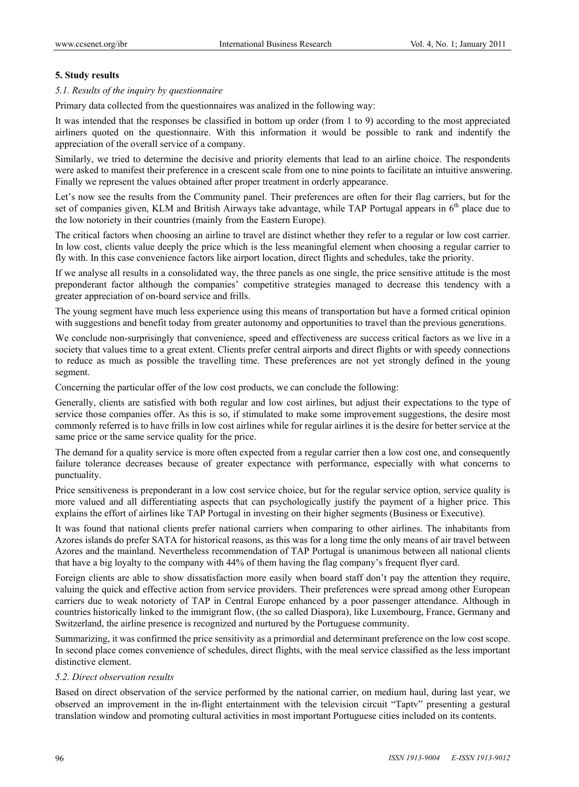## **5. Study results**

#### *5.1. Results of the inquiry by questionnaire*

Primary data collected from the questionnaires was analized in the following way:

It was intended that the responses be classified in bottom up order (from 1 to 9) according to the most appreciated airliners quoted on the questionnaire. With this information it would be possible to rank and indentify the appreciation of the overall service of a company.

Similarly, we tried to determine the decisive and priority elements that lead to an airline choice. The respondents were asked to manifest their preference in a crescent scale from one to nine points to facilitate an intuitive answering. Finally we represent the values obtained after proper treatment in orderly appearance.

Let's now see the results from the Community panel. Their preferences are often for their flag carriers, but for the set of companies given, KLM and British Airways take advantage, while TAP Portugal appears in 6<sup>th</sup> place due to the low notoriety in their countries (mainly from the Eastern Europe).

The critical factors when choosing an airline to travel are distinct whether they refer to a regular or low cost carrier. In low cost, clients value deeply the price which is the less meaningful element when choosing a regular carrier to fly with. In this case convenience factors like airport location, direct flights and schedules, take the priority.

If we analyse all results in a consolidated way, the three panels as one single, the price sensitive attitude is the most preponderant factor although the companies' competitive strategies managed to decrease this tendency with a greater appreciation of on-board service and frills.

The young segment have much less experience using this means of transportation but have a formed critical opinion with suggestions and benefit today from greater autonomy and opportunities to travel than the previous generations.

We conclude non-surprisingly that convenience, speed and effectiveness are success critical factors as we live in a society that values time to a great extent. Clients prefer central airports and direct flights or with speedy connections to reduce as much as possible the travelling time. These preferences are not yet strongly defined in the young segment.

Concerning the particular offer of the low cost products, we can conclude the following:

Generally, clients are satisfied with both regular and low cost airlines, but adjust their expectations to the type of service those companies offer. As this is so, if stimulated to make some improvement suggestions, the desire most commonly referred is to have frills in low cost airlines while for regular airlines it is the desire for better service at the same price or the same service quality for the price.

The demand for a quality service is more often expected from a regular carrier then a low cost one, and consequently failure tolerance decreases because of greater expectance with performance, especially with what concerns to punctuality.

Price sensitiveness is preponderant in a low cost service choice, but for the regular service option, service quality is more valued and all differentiating aspects that can psychologically justify the payment of a higher price. This explains the effort of airlines like TAP Portugal in investing on their higher segments (Business or Executive).

It was found that national clients prefer national carriers when comparing to other airlines. The inhabitants from Azores islands do prefer SATA for historical reasons, as this was for a long time the only means of air travel between Azores and the mainland. Nevertheless recommendation of TAP Portugal is unanimous between all national clients that have a big loyalty to the company with 44% of them having the flag company's frequent flyer card.

Foreign clients are able to show dissatisfaction more easily when board staff don't pay the attention they require, valuing the quick and effective action from service providers. Their preferences were spread among other European carriers due to weak notoriety of TAP in Central Europe enhanced by a poor passenger attendance. Although in countries historically linked to the immigrant flow, (the so called Diaspora), like Luxembourg, France, Germany and Switzerland, the airline presence is recognized and nurtured by the Portuguese community.

Summarizing, it was confirmed the price sensitivity as a primordial and determinant preference on the low cost scope. In second place comes convenience of schedules, direct flights, with the meal service classified as the less important distinctive element.

# *5.2. Direct observation results*

Based on direct observation of the service performed by the national carrier, on medium haul, during last year, we observed an improvement in the in-flight entertainment with the television circuit "Taptv" presenting a gestural translation window and promoting cultural activities in most important Portuguese cities included on its contents.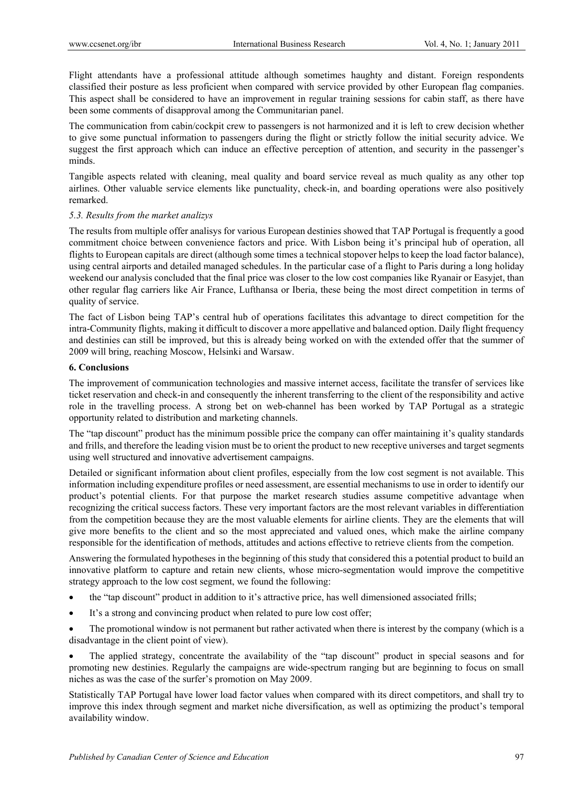Flight attendants have a professional attitude although sometimes haughty and distant. Foreign respondents classified their posture as less proficient when compared with service provided by other European flag companies. This aspect shall be considered to have an improvement in regular training sessions for cabin staff, as there have been some comments of disapproval among the Communitarian panel.

The communication from cabin/cockpit crew to passengers is not harmonized and it is left to crew decision whether to give some punctual information to passengers during the flight or strictly follow the initial security advice. We suggest the first approach which can induce an effective perception of attention, and security in the passenger's minds.

Tangible aspects related with cleaning, meal quality and board service reveal as much quality as any other top airlines. Other valuable service elements like punctuality, check-in, and boarding operations were also positively remarked.

## *5.3. Results from the market analizys*

The results from multiple offer analisys for various European destinies showed that TAP Portugal is frequently a good commitment choice between convenience factors and price. With Lisbon being it's principal hub of operation, all flights to European capitals are direct (although some times a technical stopover helps to keep the load factor balance), using central airports and detailed managed schedules. In the particular case of a flight to Paris during a long holiday weekend our analysis concluded that the final price was closer to the low cost companies like Ryanair or Easyjet, than other regular flag carriers like Air France, Lufthansa or Iberia, these being the most direct competition in terms of quality of service.

The fact of Lisbon being TAP's central hub of operations facilitates this advantage to direct competition for the intra-Community flights, making it difficult to discover a more appellative and balanced option. Daily flight frequency and destinies can still be improved, but this is already being worked on with the extended offer that the summer of 2009 will bring, reaching Moscow, Helsinki and Warsaw.

# **6. Conclusions**

The improvement of communication technologies and massive internet access, facilitate the transfer of services like ticket reservation and check-in and consequently the inherent transferring to the client of the responsibility and active role in the travelling process. A strong bet on web-channel has been worked by TAP Portugal as a strategic opportunity related to distribution and marketing channels.

The "tap discount" product has the minimum possible price the company can offer maintaining it's quality standards and frills, and therefore the leading vision must be to orient the product to new receptive universes and target segments using well structured and innovative advertisement campaigns.

Detailed or significant information about client profiles, especially from the low cost segment is not available. This information including expenditure profiles or need assessment, are essential mechanisms to use in order to identify our product's potential clients. For that purpose the market research studies assume competitive advantage when recognizing the critical success factors. These very important factors are the most relevant variables in differentiation from the competition because they are the most valuable elements for airline clients. They are the elements that will give more benefits to the client and so the most appreciated and valued ones, which make the airline company responsible for the identification of methods, attitudes and actions effective to retrieve clients from the competion.

Answering the formulated hypotheses in the beginning of this study that considered this a potential product to build an innovative platform to capture and retain new clients, whose micro-segmentation would improve the competitive strategy approach to the low cost segment, we found the following:

- the "tap discount" product in addition to it's attractive price, has well dimensioned associated frills;
- It's a strong and convincing product when related to pure low cost offer;
- The promotional window is not permanent but rather activated when there is interest by the company (which is a disadvantage in the client point of view).
- The applied strategy, concentrate the availability of the "tap discount" product in special seasons and for promoting new destinies. Regularly the campaigns are wide-spectrum ranging but are beginning to focus on small niches as was the case of the surfer's promotion on May 2009.

Statistically TAP Portugal have lower load factor values when compared with its direct competitors, and shall try to improve this index through segment and market niche diversification, as well as optimizing the product's temporal availability window.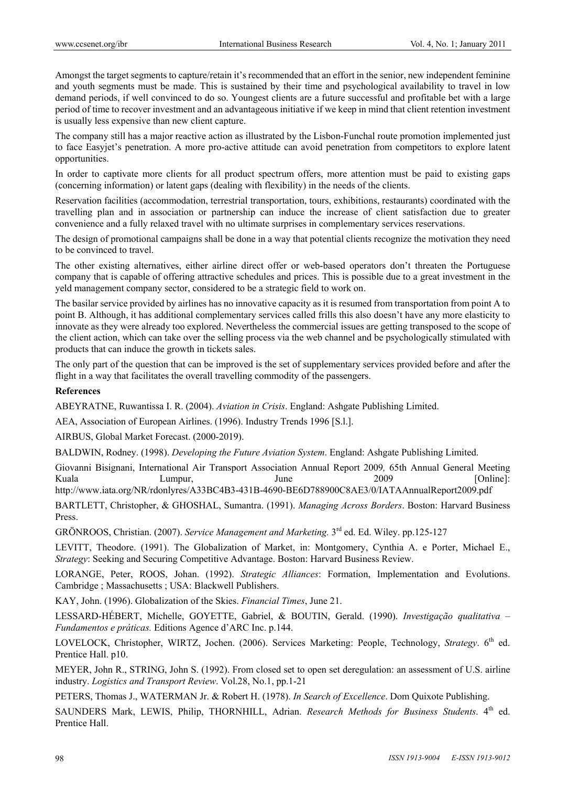Amongst the target segments to capture/retain it's recommended that an effort in the senior, new independent feminine and youth segments must be made. This is sustained by their time and psychological availability to travel in low demand periods, if well convinced to do so. Youngest clients are a future successful and profitable bet with a large period of time to recover investment and an advantageous initiative if we keep in mind that client retention investment is usually less expensive than new client capture.

The company still has a major reactive action as illustrated by the Lisbon-Funchal route promotion implemented just to face Easyjet's penetration. A more pro-active attitude can avoid penetration from competitors to explore latent opportunities.

In order to captivate more clients for all product spectrum offers, more attention must be paid to existing gaps (concerning information) or latent gaps (dealing with flexibility) in the needs of the clients.

Reservation facilities (accommodation, terrestrial transportation, tours, exhibitions, restaurants) coordinated with the travelling plan and in association or partnership can induce the increase of client satisfaction due to greater convenience and a fully relaxed travel with no ultimate surprises in complementary services reservations.

The design of promotional campaigns shall be done in a way that potential clients recognize the motivation they need to be convinced to travel.

The other existing alternatives, either airline direct offer or web-based operators don't threaten the Portuguese company that is capable of offering attractive schedules and prices. This is possible due to a great investment in the yeld management company sector, considered to be a strategic field to work on.

The basilar service provided by airlines has no innovative capacity as it is resumed from transportation from point A to point B. Although, it has additional complementary services called frills this also doesn't have any more elasticity to innovate as they were already too explored. Nevertheless the commercial issues are getting transposed to the scope of the client action, which can take over the selling process via the web channel and be psychologically stimulated with products that can induce the growth in tickets sales.

The only part of the question that can be improved is the set of supplementary services provided before and after the flight in a way that facilitates the overall travelling commodity of the passengers.

# **References**

ABEYRATNE, Ruwantissa I. R. (2004). *Aviation in Crisis*. England: Ashgate Publishing Limited.

AEA, Association of European Airlines. (1996). Industry Trends 1996 [S.l.].

AIRBUS, Global Market Forecast. (2000-2019).

BALDWIN, Rodney. (1998). *Developing the Future Aviation System*. England: Ashgate Publishing Limited.

Giovanni Bisignani, International Air Transport Association Annual Report 2009*,* 65th Annual General Meeting Kuala Lumpur, June 2009 [Online]:

http://www.iata.org/NR/rdonlyres/A33BC4B3-431B-4690-BE6D788900C8AE3/0/IATAAnnualReport2009.pdf

BARTLETT, Christopher, & GHOSHAL, Sumantra. (1991). *Managing Across Borders*. Boston: Harvard Business Press.

GRÖNROOS, Christian. (2007). *Service Management and Marketing.* 3rd ed. Ed. Wiley. pp.125-127

LEVITT, Theodore. (1991). The Globalization of Market, in: Montgomery, Cynthia A. e Porter, Michael E., *Strategy*: Seeking and Securing Competitive Advantage. Boston: Harvard Business Review.

LORANGE, Peter, ROOS, Johan. (1992). *Strategic Alliances*: Formation, Implementation and Evolutions. Cambridge ; Massachusetts ; USA: Blackwell Publishers.

KAY, John. (1996). Globalization of the Skies. *Financial Times*, June 21.

LESSARD-HÉBERT, Michelle, GOYETTE, Gabriel, & BOUTIN, Gerald. (1990). *Investigação qualitativa – Fundamentos e práticas.* Editions Agence d'ARC Inc. p.144.

LOVELOCK, Christopher, WIRTZ, Jochen. (2006). Services Marketing: People, Technology, *Strategy*. 6<sup>th</sup> ed. Prentice Hall. p10.

MEYER, John R., STRING, John S. (1992). From closed set to open set deregulation: an assessment of U.S. airline industry. *Logistics and Transport Review*. Vol.28, No.1, pp.1-21

PETERS, Thomas J., WATERMAN Jr. & Robert H. (1978). *In Search of Excellence*. Dom Quixote Publishing.

SAUNDERS Mark, LEWIS, Philip, THORNHILL, Adrian. *Research Methods for Business Students*. 4<sup>th</sup> ed. Prentice Hall.